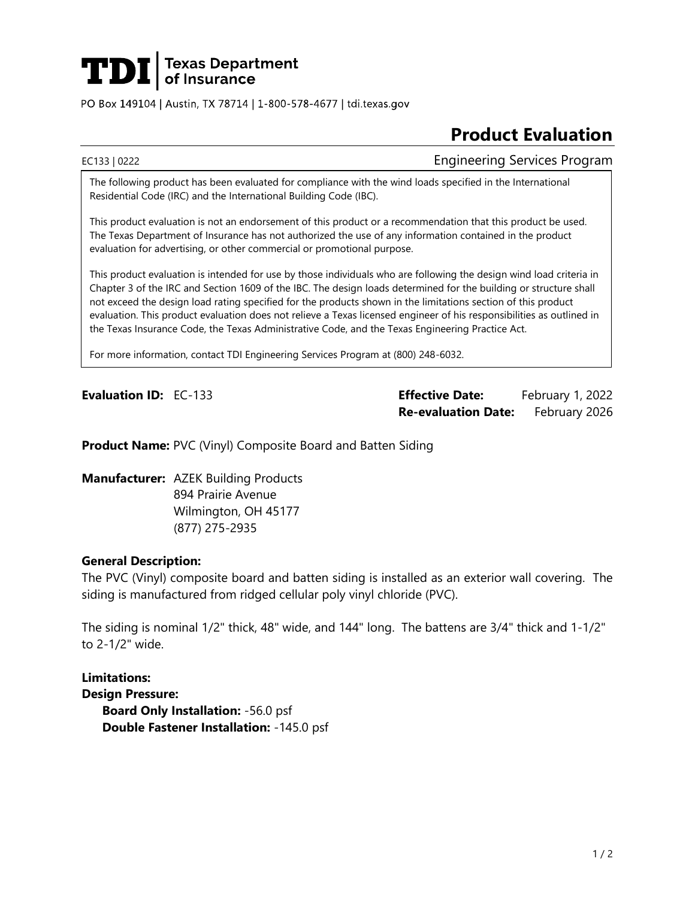

PO Box 149104 | Austin, TX 78714 | 1-800-578-4677 | tdi.texas.gov

# **Product Evaluation**

EC133 | 0222 Engineering Services Program

The following product has been evaluated for compliance with the wind loads specified in the International Residential Code (IRC) and the International Building Code (IBC).

This product evaluation is not an endorsement of this product or a recommendation that this product be used. The Texas Department of Insurance has not authorized the use of any information contained in the product evaluation for advertising, or other commercial or promotional purpose.

This product evaluation is intended for use by those individuals who are following the design wind load criteria in Chapter 3 of the IRC and Section 1609 of the IBC. The design loads determined for the building or structure shall not exceed the design load rating specified for the products shown in the limitations section of this product evaluation. This product evaluation does not relieve a Texas licensed engineer of his responsibilities as outlined in the Texas Insurance Code, the Texas Administrative Code, and the Texas Engineering Practice Act.

For more information, contact TDI Engineering Services Program at (800) 248-6032.

**Evaluation ID:** EC-133 **Effective Date:** February 1, 2022 **Re-evaluation Date:** February 2026

**Product Name:** PVC (Vinyl) Composite Board and Batten Siding

**Manufacturer:** AZEK Building Products 894 Prairie Avenue Wilmington, OH 45177 (877) 275-2935

### **General Description:**

The PVC (Vinyl) composite board and batten siding is installed as an exterior wall covering. The siding is manufactured from ridged cellular poly vinyl chloride (PVC).

The siding is nominal 1/2" thick, 48" wide, and 144" long. The battens are 3/4" thick and 1-1/2" to 2-1/2" wide.

**Limitations: Design Pressure: Board Only Installation:** -56.0 psf **Double Fastener Installation:** -145.0 psf